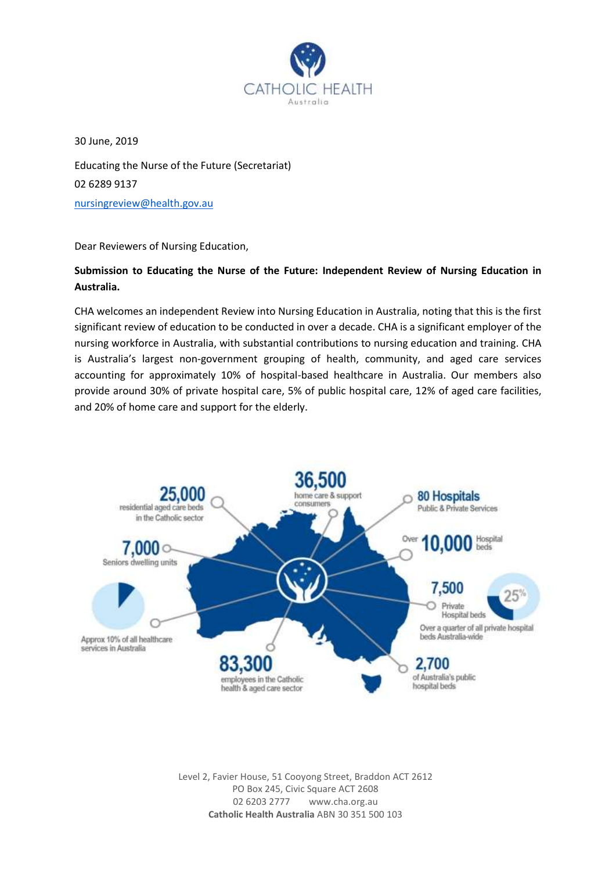

30 June, 2019 Educating the Nurse of the Future (Secretariat) 02 6289 9137 [nursingreview@health.gov.au](mailto:nursingreview@health.gov.au)

Dear Reviewers of Nursing Education,

# **Submission to Educating the Nurse of the Future: Independent Review of Nursing Education in Australia.**

CHA welcomes an independent Review into Nursing Education in Australia, noting that this is the first significant review of education to be conducted in over a decade. CHA is a significant employer of the nursing workforce in Australia, with substantial contributions to nursing education and training. CHA is Australia's largest non-government grouping of health, community, and aged care services accounting for approximately 10% of hospital-based healthcare in Australia. Our members also provide around 30% of private hospital care, 5% of public hospital care, 12% of aged care facilities, and 20% of home care and support for the elderly.



Level 2, Favier House, 51 Cooyong Street, Braddon ACT 2612 PO Box 245, Civic Square ACT 2608 02 6203 2777 www.cha.org.au **Catholic Health Australia** ABN 30 351 500 103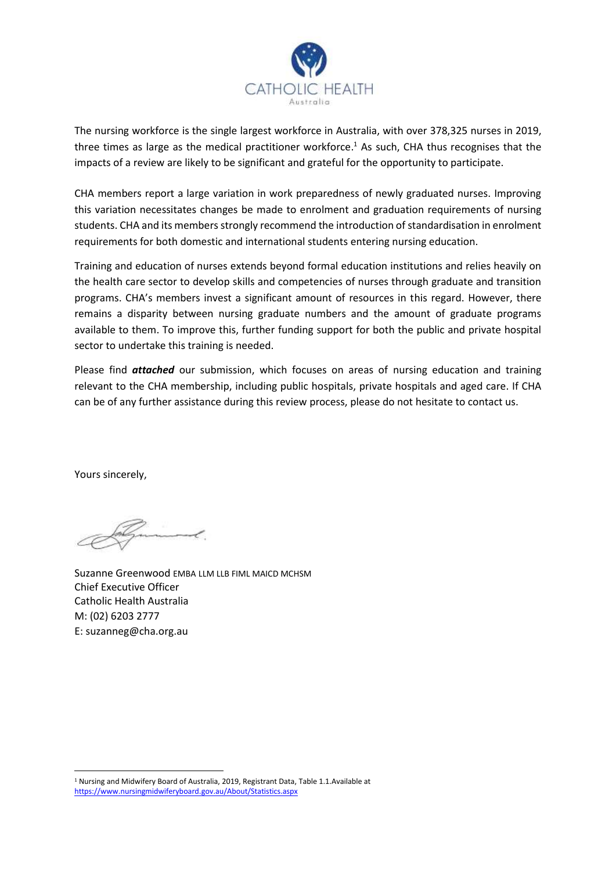

The nursing workforce is the single largest workforce in Australia, with over 378,325 nurses in 2019, three times as large as the medical practitioner workforce. <sup>1</sup> As such, CHA thus recognises that the impacts of a review are likely to be significant and grateful for the opportunity to participate.

CHA members report a large variation in work preparedness of newly graduated nurses. Improving this variation necessitates changes be made to enrolment and graduation requirements of nursing students. CHA and its members strongly recommend the introduction of standardisation in enrolment requirements for both domestic and international students entering nursing education.

Training and education of nurses extends beyond formal education institutions and relies heavily on the health care sector to develop skills and competencies of nurses through graduate and transition programs. CHA's members invest a significant amount of resources in this regard. However, there remains a disparity between nursing graduate numbers and the amount of graduate programs available to them. To improve this, further funding support for both the public and private hospital sector to undertake this training is needed.

Please find *attached* our submission, which focuses on areas of nursing education and training relevant to the CHA membership, including public hospitals, private hospitals and aged care. If CHA can be of any further assistance during this review process, please do not hesitate to contact us.

Yours sincerely,

 $\overline{a}$ 

Suzanne Greenwood EMBA LLM LLB FIML MAICD MCHSM Chief Executive Officer Catholic Health Australia M: (02) 6203 2777 E: suzanneg@cha.org.au

<sup>1</sup> Nursing and Midwifery Board of Australia, 2019, Registrant Data, Table 1.1.Available at <https://www.nursingmidwiferyboard.gov.au/About/Statistics.aspx>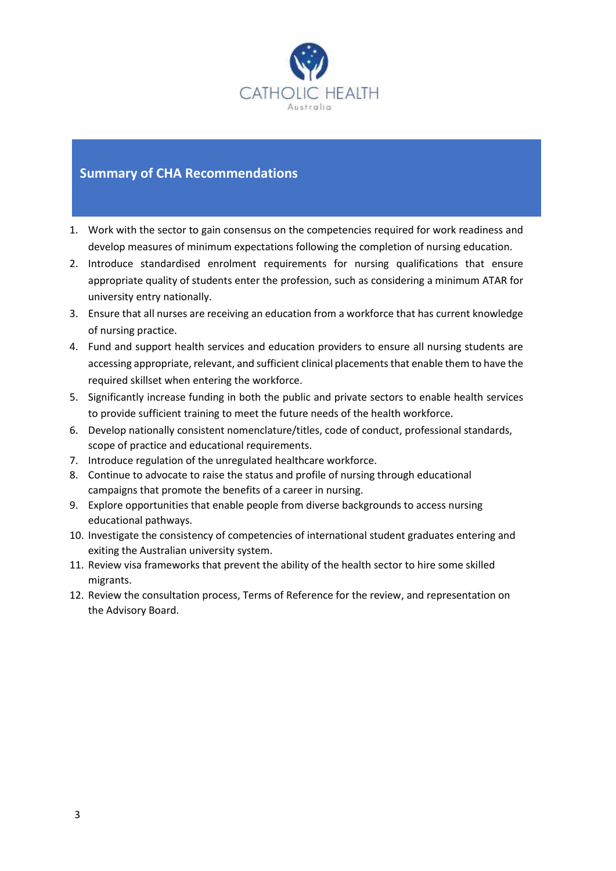

# **Summary of CHA Recommendations**

- 1. Work with the sector to gain consensus on the competencies required for work readiness and develop measures of minimum expectations following the completion of nursing education.
- 2. Introduce standardised enrolment requirements for nursing qualifications that ensure appropriate quality of students enter the profession, such as considering a minimum ATAR for university entry nationally.
- 3. Ensure that all nurses are receiving an education from a workforce that has current knowledge of nursing practice.
- 4. Fund and support health services and education providers to ensure all nursing students are accessing appropriate, relevant, and sufficient clinical placements that enable them to have the required skillset when entering the workforce.
- 5. Significantly increase funding in both the public and private sectors to enable health services to provide sufficient training to meet the future needs of the health workforce.
- 6. Develop nationally consistent nomenclature/titles, code of conduct, professional standards, scope of practice and educational requirements.
- 7. Introduce regulation of the unregulated healthcare workforce.
- 8. Continue to advocate to raise the status and profile of nursing through educational campaigns that promote the benefits of a career in nursing.
- 9. Explore opportunities that enable people from diverse backgrounds to access nursing educational pathways.
- 10. Investigate the consistency of competencies of international student graduates entering and exiting the Australian university system.
- 11. Review visa frameworks that prevent the ability of the health sector to hire some skilled migrants.
- 12. Review the consultation process, Terms of Reference for the review, and representation on the Advisory Board.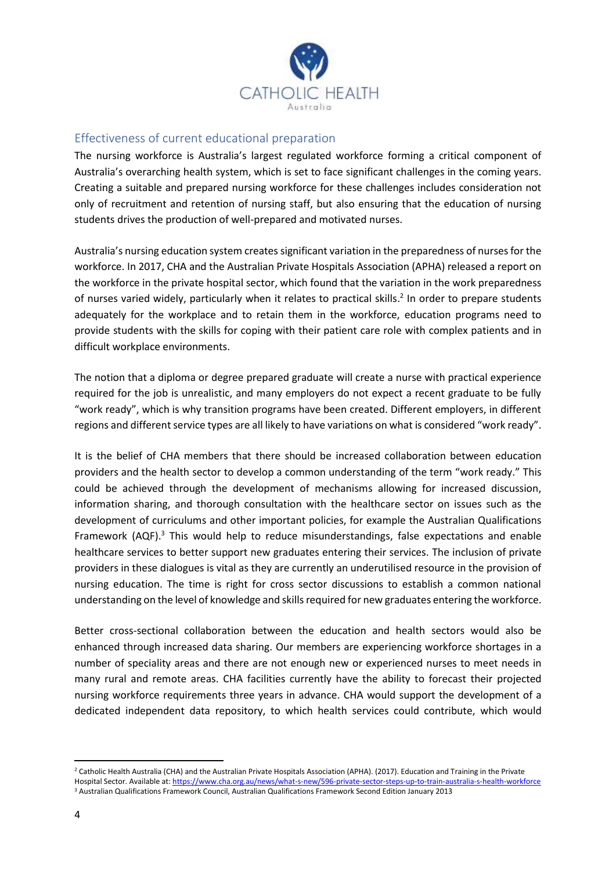

# Effectiveness of current educational preparation

The nursing workforce is Australia's largest regulated workforce forming a critical component of Australia's overarching health system, which is set to face significant challenges in the coming years. Creating a suitable and prepared nursing workforce for these challenges includes consideration not only of recruitment and retention of nursing staff, but also ensuring that the education of nursing students drives the production of well-prepared and motivated nurses.

Australia's nursing education system creates significant variation in the preparedness of nurses for the workforce. In 2017, CHA and the Australian Private Hospitals Association (APHA) released a report on the workforce in the private hospital sector, which found that the variation in the work preparedness of nurses varied widely, particularly when it relates to practical skills.<sup>2</sup> In order to prepare students adequately for the workplace and to retain them in the workforce, education programs need to provide students with the skills for coping with their patient care role with complex patients and in difficult workplace environments.

The notion that a diploma or degree prepared graduate will create a nurse with practical experience required for the job is unrealistic, and many employers do not expect a recent graduate to be fully "work ready", which is why transition programs have been created. Different employers, in different regions and different service types are all likely to have variations on what is considered "work ready".

It is the belief of CHA members that there should be increased collaboration between education providers and the health sector to develop a common understanding of the term "work ready." This could be achieved through the development of mechanisms allowing for increased discussion, information sharing, and thorough consultation with the healthcare sector on issues such as the development of curriculums and other important policies, for example the Australian Qualifications Framework (AQF). $3$  This would help to reduce misunderstandings, false expectations and enable healthcare services to better support new graduates entering their services. The inclusion of private providers in these dialogues is vital as they are currently an underutilised resource in the provision of nursing education. The time is right for cross sector discussions to establish a common national understanding on the level of knowledge and skills required for new graduates entering the workforce.

Better cross-sectional collaboration between the education and health sectors would also be enhanced through increased data sharing. Our members are experiencing workforce shortages in a number of speciality areas and there are not enough new or experienced nurses to meet needs in many rural and remote areas. CHA facilities currently have the ability to forecast their projected nursing workforce requirements three years in advance. CHA would support the development of a dedicated independent data repository, to which health services could contribute, which would

**.** 

<sup>&</sup>lt;sup>2</sup> Catholic Health Australia (CHA) and the Australian Private Hospitals Association (APHA). (2017). Education and Training in the Private Hospital Sector. Available at:<https://www.cha.org.au/news/what-s-new/596-private-sector-steps-up-to-train-australia-s-health-workforce> <sup>3</sup> Australian Qualifications Framework Council, Australian Qualifications Framework Second Edition January 2013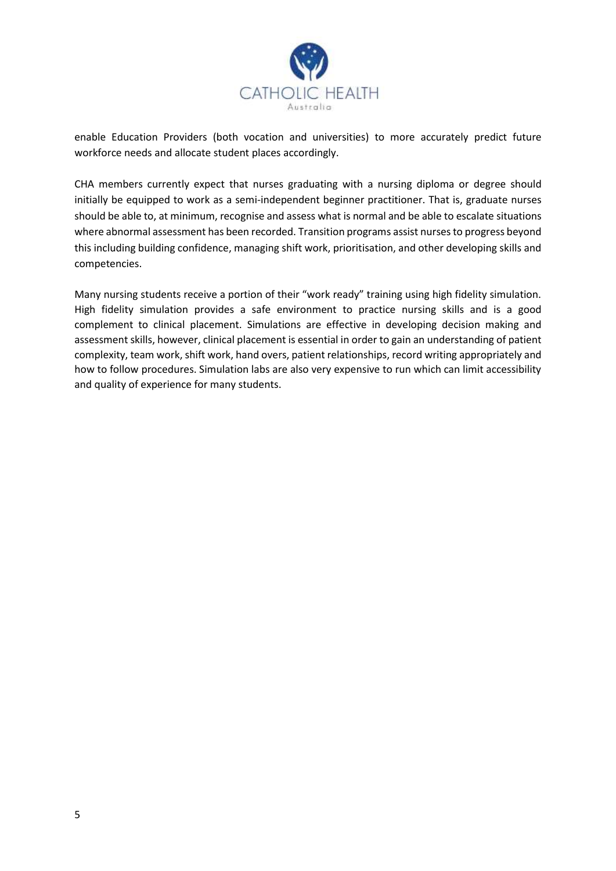

enable Education Providers (both vocation and universities) to more accurately predict future workforce needs and allocate student places accordingly.

CHA members currently expect that nurses graduating with a nursing diploma or degree should initially be equipped to work as a semi-independent beginner practitioner. That is, graduate nurses should be able to, at minimum, recognise and assess what is normal and be able to escalate situations where abnormal assessment has been recorded. Transition programs assist nurses to progress beyond this including building confidence, managing shift work, prioritisation, and other developing skills and competencies.

Many nursing students receive a portion of their "work ready" training using high fidelity simulation. High fidelity simulation provides a safe environment to practice nursing skills and is a good complement to clinical placement. Simulations are effective in developing decision making and assessment skills, however, clinical placement is essential in order to gain an understanding of patient complexity, team work, shift work, hand overs, patient relationships, record writing appropriately and how to follow procedures. Simulation labs are also very expensive to run which can limit accessibility and quality of experience for many students.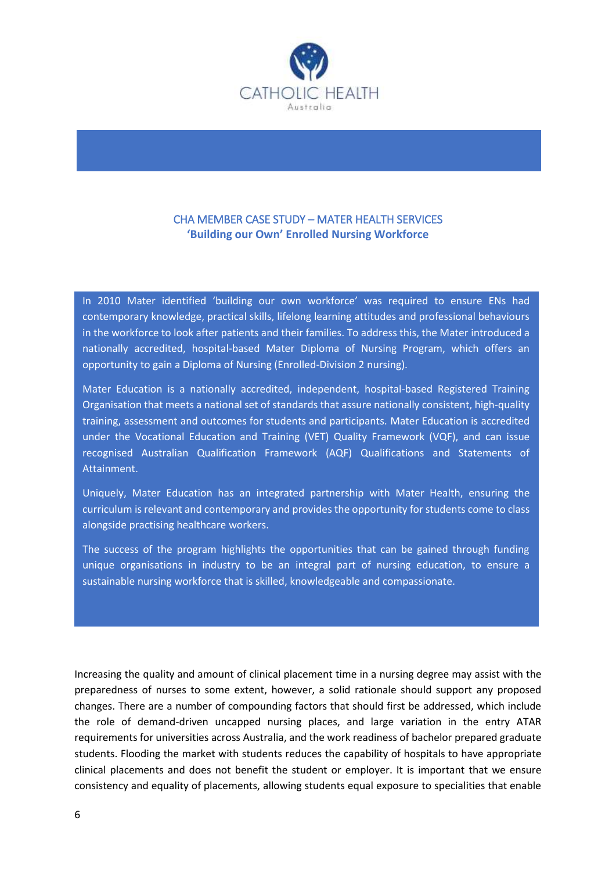

# CHA MEMBER CASE STUDY – MATER HEALTH SERVICES **'Building our Own' Enrolled Nursing Workforce**

In 2010 Mater identified 'building our own workforce' was required to ensure ENs had contemporary knowledge, practical skills, lifelong learning attitudes and professional behaviours in the workforce to look after patients and their families. To address this, the Mater introduced a nationally accredited, hospital-based Mater Diploma of Nursing Program, which offers an opportunity to gain a Diploma of Nursing (Enrolled-Division 2 nursing).

Mater Education is a nationally accredited, independent, hospital-based Registered Training Organisation that meets a national set of standards that assure nationally consistent, high-quality training, assessment and outcomes for students and participants. Mater Education is accredited under the Vocational Education and Training (VET) Quality Framework (VQF), and can issue recognised Australian Qualification Framework (AQF) Qualifications and Statements of Attainment.

Uniquely, Mater Education has an integrated partnership with Mater Health, ensuring the curriculum is relevant and contemporary and provides the opportunity for students come to class alongside practising healthcare workers.

The success of the program highlights the opportunities that can be gained through funding unique organisations in industry to be an integral part of nursing education, to ensure a sustainable nursing workforce that is skilled, knowledgeable and compassionate.

Increasing the quality and amount of clinical placement time in a nursing degree may assist with the preparedness of nurses to some extent, however, a solid rationale should support any proposed changes. There are a number of compounding factors that should first be addressed, which include the role of demand-driven uncapped nursing places, and large variation in the entry ATAR requirements for universities across Australia, and the work readiness of bachelor prepared graduate students. Flooding the market with students reduces the capability of hospitals to have appropriate clinical placements and does not benefit the student or employer. It is important that we ensure consistency and equality of placements, allowing students equal exposure to specialities that enable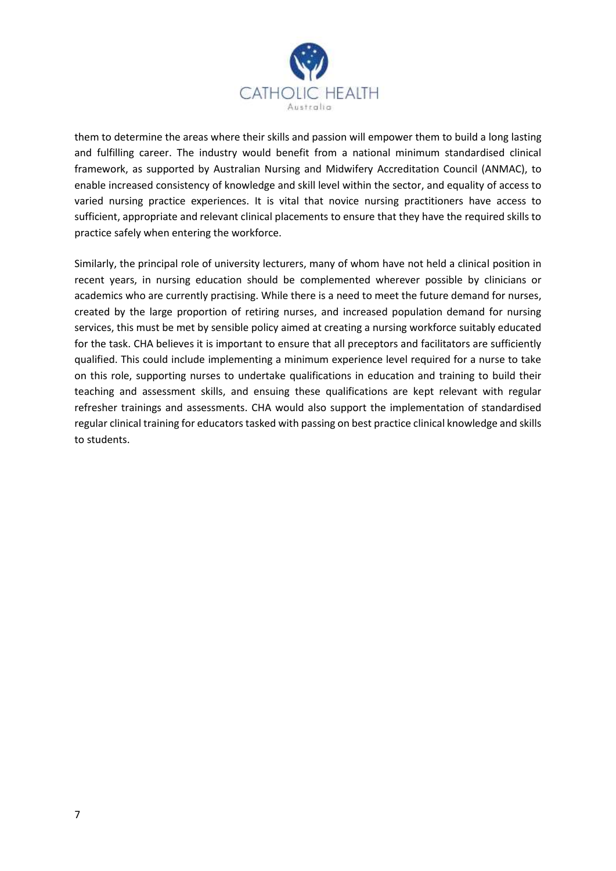

them to determine the areas where their skills and passion will empower them to build a long lasting and fulfilling career. The industry would benefit from a national minimum standardised clinical framework, as supported by Australian Nursing and Midwifery Accreditation Council (ANMAC), to enable increased consistency of knowledge and skill level within the sector, and equality of access to varied nursing practice experiences. It is vital that novice nursing practitioners have access to sufficient, appropriate and relevant clinical placements to ensure that they have the required skills to practice safely when entering the workforce.

Similarly, the principal role of university lecturers, many of whom have not held a clinical position in recent years, in nursing education should be complemented wherever possible by clinicians or academics who are currently practising. While there is a need to meet the future demand for nurses, created by the large proportion of retiring nurses, and increased population demand for nursing services, this must be met by sensible policy aimed at creating a nursing workforce suitably educated for the task. CHA believes it is important to ensure that all preceptors and facilitators are sufficiently qualified. This could include implementing a minimum experience level required for a nurse to take on this role, supporting nurses to undertake qualifications in education and training to build their teaching and assessment skills, and ensuing these qualifications are kept relevant with regular refresher trainings and assessments. CHA would also support the implementation of standardised regular clinical training for educators tasked with passing on best practice clinical knowledge and skills to students.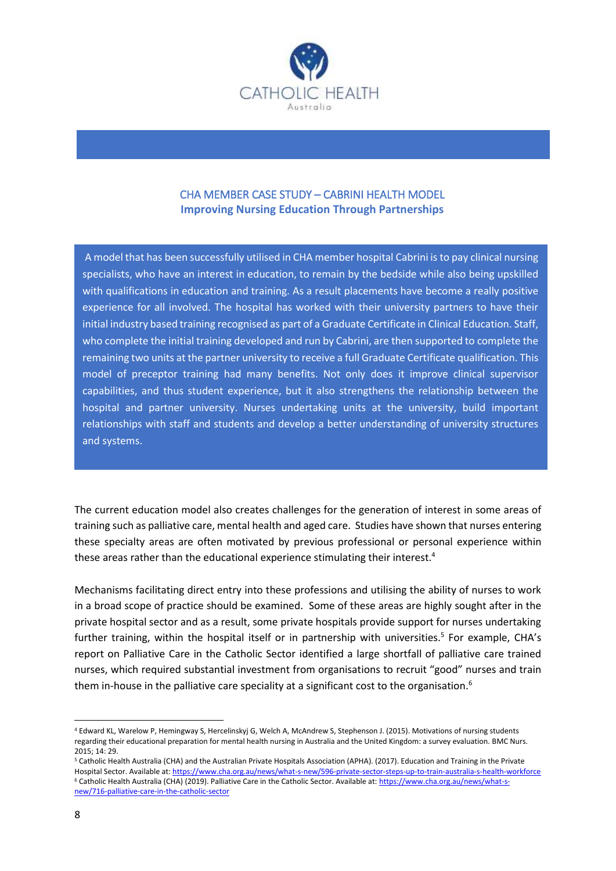

## CHA MEMBER CASE STUDY – CABRINI HEALTH MODEL **Improving Nursing Education Through Partnerships**

A model that has been successfully utilised in CHA member hospital Cabrini isto pay clinical nursing specialists, who have an interest in education, to remain by the bedside while also being upskilled with qualifications in education and training. As a result placements have become a really positive experience for all involved. The hospital has worked with their university partners to have their initial industry based training recognised as part of a Graduate Certificate in Clinical Education. Staff, who complete the initial training developed and run by Cabrini, are then supported to complete the remaining two units at the partner university to receive a full Graduate Certificate qualification. This model of preceptor training had many benefits. Not only does it improve clinical supervisor capabilities, and thus student experience, but it also strengthens the relationship between the hospital and partner university. Nurses undertaking units at the university, build important relationships with staff and students and develop a better understanding of university structures and systems.

The current education model also creates challenges for the generation of interest in some areas of training such as palliative care, mental health and aged care. Studies have shown that nurses entering these specialty areas are often motivated by previous professional or personal experience within these areas rather than the educational experience stimulating their interest.<sup>4</sup>

Mechanisms facilitating direct entry into these professions and utilising the ability of nurses to work in a broad scope of practice should be examined. Some of these areas are highly sought after in the private hospital sector and as a result, some private hospitals provide support for nurses undertaking further training, within the hospital itself or in partnership with universities.<sup>5</sup> For example, CHA's report on Palliative Care in the Catholic Sector identified a large shortfall of palliative care trained nurses, which required substantial investment from organisations to recruit "good" nurses and train them in-house in the palliative care speciality at a significant cost to the organisation.<sup>6</sup>

1

<sup>4</sup> Edward KL, Warelow P, Hemingway S, Hercelinskyj G, Welch A, McAndrew S, Stephenson J. (2015). Motivations of nursing students regarding their educational preparation for mental health nursing in Australia and the United Kingdom: a survey evaluation. BMC Nurs. 2015; 14: 29.

<sup>5</sup> Catholic Health Australia (CHA) and the Australian Private Hospitals Association (APHA). (2017). Education and Training in the Private Hospital Sector. Available at:<https://www.cha.org.au/news/what-s-new/596-private-sector-steps-up-to-train-australia-s-health-workforce> <sup>6</sup> Catholic Health Australia (CHA) (2019). Palliative Care in the Catholic Sector. Available at[: https://www.cha.org.au/news/what-s](https://www.cha.org.au/news/what-s-new/716-palliative-care-in-the-catholic-sector)[new/716-palliative-care-in-the-catholic-sector](https://www.cha.org.au/news/what-s-new/716-palliative-care-in-the-catholic-sector)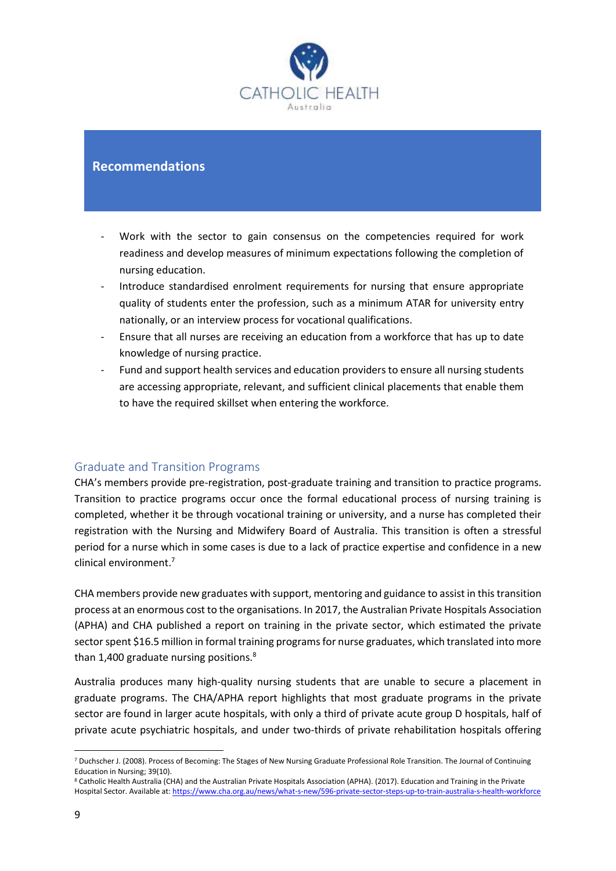

# **Recommendations**

- Work with the sector to gain consensus on the competencies required for work readiness and develop measures of minimum expectations following the completion of nursing education.
- Introduce standardised enrolment requirements for nursing that ensure appropriate quality of students enter the profession, such as a minimum ATAR for university entry nationally, or an interview process for vocational qualifications.
- Ensure that all nurses are receiving an education from a workforce that has up to date knowledge of nursing practice.
- Fund and support health services and education providers to ensure all nursing students are accessing appropriate, relevant, and sufficient clinical placements that enable them to have the required skillset when entering the workforce.

#### Graduate and Transition Programs

CHA's members provide pre-registration, post-graduate training and transition to practice programs. Transition to practice programs occur once the formal educational process of nursing training is completed, whether it be through vocational training or university, and a nurse has completed their registration with the Nursing and Midwifery Board of Australia. This transition is often a stressful period for a nurse which in some cases is due to a lack of practice expertise and confidence in a new clinical environment. 7

CHA members provide new graduates with support, mentoring and guidance to assist in this transition process at an enormous cost to the organisations. In 2017, the Australian Private Hospitals Association (APHA) and CHA published a report on training in the private sector, which estimated the private sector spent \$16.5 million in formal training programs for nurse graduates, which translated into more than 1,400 graduate nursing positions.<sup>8</sup>

Australia produces many high-quality nursing students that are unable to secure a placement in graduate programs. The CHA/APHA report highlights that most graduate programs in the private sector are found in larger acute hospitals, with only a third of private acute group D hospitals, half of private acute psychiatric hospitals, and under two-thirds of private rehabilitation hospitals offering

<sup>8</sup> Catholic Health Australia (CHA) and the Australian Private Hospitals Association (APHA). (2017). Education and Training in the Private Hospital Sector. Available at:<https://www.cha.org.au/news/what-s-new/596-private-sector-steps-up-to-train-australia-s-health-workforce>

<sup>1</sup> <sup>7</sup> Duchscher J. (2008). Process of Becoming: The Stages of New Nursing Graduate Professional Role Transition. The Journal of Continuing Education in Nursing; 39(10).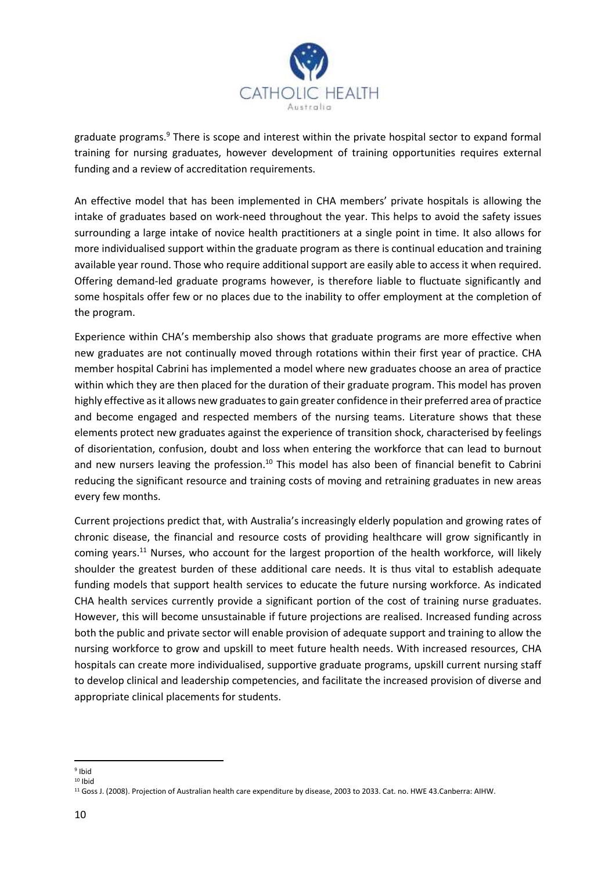

graduate programs.<sup>9</sup> There is scope and interest within the private hospital sector to expand formal training for nursing graduates, however development of training opportunities requires external funding and a review of accreditation requirements.

An effective model that has been implemented in CHA members' private hospitals is allowing the intake of graduates based on work-need throughout the year. This helps to avoid the safety issues surrounding a large intake of novice health practitioners at a single point in time. It also allows for more individualised support within the graduate program as there is continual education and training available year round. Those who require additional support are easily able to access it when required. Offering demand-led graduate programs however, is therefore liable to fluctuate significantly and some hospitals offer few or no places due to the inability to offer employment at the completion of the program.

Experience within CHA's membership also shows that graduate programs are more effective when new graduates are not continually moved through rotations within their first year of practice. CHA member hospital Cabrini has implemented a model where new graduates choose an area of practice within which they are then placed for the duration of their graduate program. This model has proven highly effective as it allows new graduates to gain greater confidence in their preferred area of practice and become engaged and respected members of the nursing teams. Literature shows that these elements protect new graduates against the experience of transition shock, characterised by feelings of disorientation, confusion, doubt and loss when entering the workforce that can lead to burnout and new nursers leaving the profession.<sup>10</sup> This model has also been of financial benefit to Cabrini reducing the significant resource and training costs of moving and retraining graduates in new areas every few months.

Current projections predict that, with Australia's increasingly elderly population and growing rates of chronic disease, the financial and resource costs of providing healthcare will grow significantly in coming years.<sup>11</sup> Nurses, who account for the largest proportion of the health workforce, will likely shoulder the greatest burden of these additional care needs. It is thus vital to establish adequate funding models that support health services to educate the future nursing workforce. As indicated CHA health services currently provide a significant portion of the cost of training nurse graduates. However, this will become unsustainable if future projections are realised. Increased funding across both the public and private sector will enable provision of adequate support and training to allow the nursing workforce to grow and upskill to meet future health needs. With increased resources, CHA hospitals can create more individualised, supportive graduate programs, upskill current nursing staff to develop clinical and leadership competencies, and facilitate the increased provision of diverse and appropriate clinical placements for students.

**<sup>.</sup>** 9 Ibid

 $10$  Ihid

<sup>&</sup>lt;sup>11</sup> Goss J. (2008). Projection of Australian health care expenditure by disease, 2003 to 2033. Cat. no. HWE 43.Canberra: AIHW.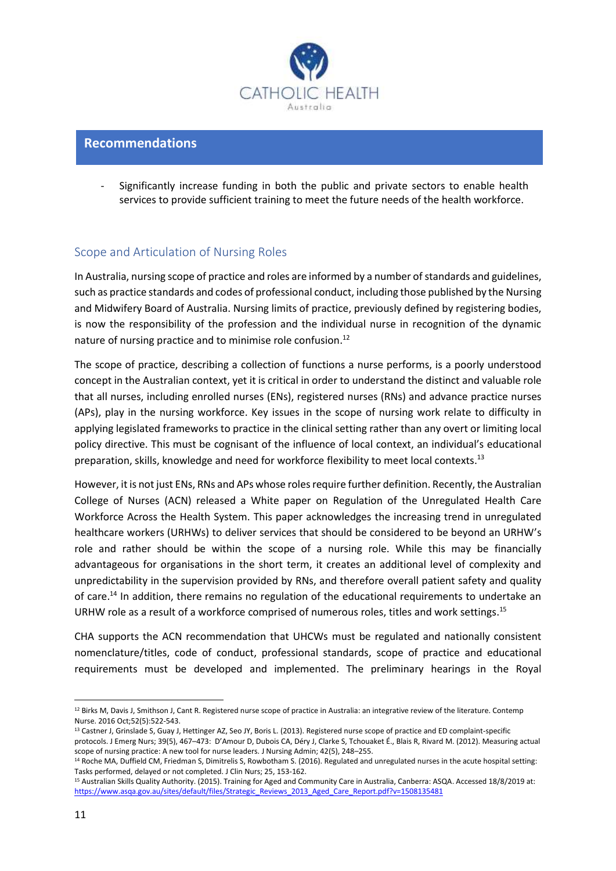

### **Recommendations**

Significantly increase funding in both the public and private sectors to enable health services to provide sufficient training to meet the future needs of the health workforce.

# Scope and Articulation of Nursing Roles

In Australia, nursing scope of practice and roles are informed by a number of standards and guidelines, such as practice standards and codes of professional conduct, including those published by the Nursing and Midwifery Board of Australia. Nursing limits of practice, previously defined by registering bodies, is now the responsibility of the profession and the individual nurse in recognition of the dynamic nature of nursing practice and to minimise role confusion.<sup>12</sup>

The scope of practice, describing a collection of functions a nurse performs, is a poorly understood concept in the Australian context, yet it is critical in order to understand the distinct and valuable role that all nurses, including enrolled nurses (ENs), registered nurses (RNs) and advance practice nurses (APs), play in the nursing workforce. Key issues in the scope of nursing work relate to difficulty in applying legislated frameworks to practice in the clinical setting rather than any overt or limiting local policy directive. This must be cognisant of the influence of local context, an individual's educational preparation, skills, knowledge and need for workforce flexibility to meet local contexts.<sup>13</sup>

However, it is not just ENs, RNs and APs whose roles require further definition. Recently, the Australian College of Nurses (ACN) released a White paper on Regulation of the Unregulated Health Care Workforce Across the Health System. This paper acknowledges the increasing trend in unregulated healthcare workers (URHWs) to deliver services that should be considered to be beyond an URHW's role and rather should be within the scope of a nursing role. While this may be financially advantageous for organisations in the short term, it creates an additional level of complexity and unpredictability in the supervision provided by RNs, and therefore overall patient safety and quality of care.<sup>14</sup> In addition, there remains no regulation of the educational requirements to undertake an URHW role as a result of a workforce comprised of numerous roles, titles and work settings.<sup>15</sup>

CHA supports the ACN recommendation that UHCWs must be regulated and nationally consistent nomenclature/titles, code of conduct, professional standards, scope of practice and educational requirements must be developed and implemented. The preliminary hearings in the Royal

**.** 

<sup>&</sup>lt;sup>12</sup> Birks M, Davis J, Smithson J, Cant R. Registered nurse scope of practice in Australia: an integrative review of the literature. Contemp Nurse. 2016 Oct;52(5):522-543.

<sup>&</sup>lt;sup>13</sup> Castner J, Grinslade S, Guay J, Hettinger AZ, Seo JY, Boris L. (2013). Registered nurse scope of practice and ED complaint-specific protocols. J Emerg Nurs; 39(5), 467–473: D'Amour D, Dubois CA, Déry J, Clarke S, Tchouaket É., Blais R, Rivard M. (2012). Measuring actual

scope of nursing practice: A new tool for nurse leaders. J Nursing Admin; 42(5), 248–255.

<sup>&</sup>lt;sup>14</sup> Roche MA, Duffield CM, Friedman S, Dimitrelis S, Rowbotham S. (2016). Regulated and unregulated nurses in the acute hospital setting: Tasks performed, delayed or not completed. J Clin Nurs; 25, 153-162.

<sup>15</sup> Australian Skills Quality Authority. (2015). Training for Aged and Community Care in Australia, Canberra: ASQA. Accessed 18/8/2019 at: [https://www.asqa.gov.au/sites/default/files/Strategic\\_Reviews\\_2013\\_Aged\\_Care\\_Report.pdf?v=1508135481](https://www.asqa.gov.au/sites/default/files/Strategic_Reviews_2013_Aged_Care_Report.pdf?v=1508135481)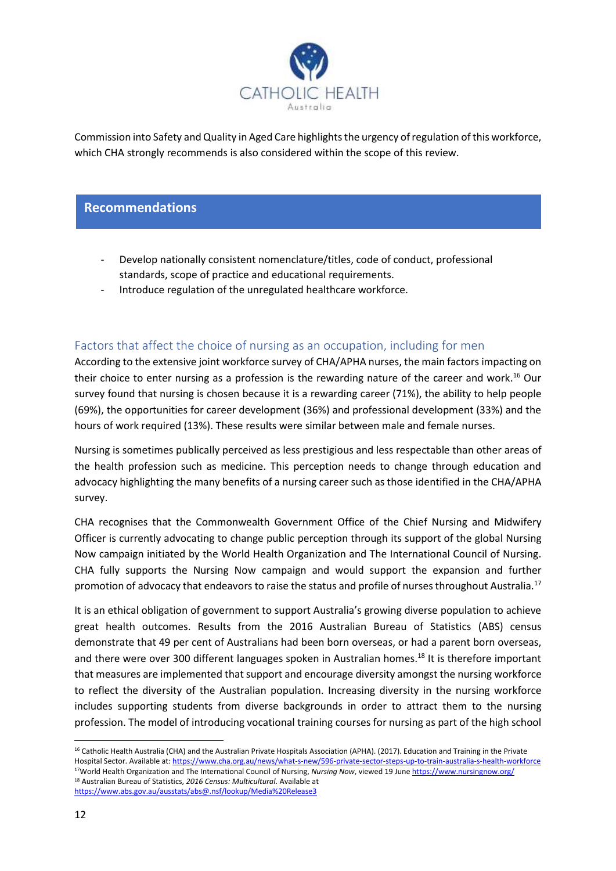

Commission into Safety and Quality in Aged Care highlights the urgency of regulation of this workforce, which CHA strongly recommends is also considered within the scope of this review.

## **Recommendations**

- Develop nationally consistent nomenclature/titles, code of conduct, professional standards, scope of practice and educational requirements.
- Introduce regulation of the unregulated healthcare workforce.

## Factors that affect the choice of nursing as an occupation, including for men

According to the extensive joint workforce survey of CHA/APHA nurses, the main factors impacting on their choice to enter nursing as a profession is the rewarding nature of the career and work. <sup>16</sup> Our survey found that nursing is chosen because it is a rewarding career (71%), the ability to help people (69%), the opportunities for career development (36%) and professional development (33%) and the hours of work required (13%). These results were similar between male and female nurses.

Nursing is sometimes publically perceived as less prestigious and less respectable than other areas of the health profession such as medicine. This perception needs to change through education and advocacy highlighting the many benefits of a nursing career such as those identified in the CHA/APHA survey.

CHA recognises that the Commonwealth Government Office of the Chief Nursing and Midwifery Officer is currently advocating to change public perception through its support of the global Nursing Now campaign initiated by the World Health Organization and The International Council of Nursing. CHA fully supports the Nursing Now campaign and would support the expansion and further promotion of advocacy that endeavors to raise the status and profile of nurses throughout Australia.<sup>17</sup>

It is an ethical obligation of government to support Australia's growing diverse population to achieve great health outcomes. Results from the 2016 Australian Bureau of Statistics (ABS) census demonstrate that 49 per cent of Australians had been born overseas, or had a parent born overseas, and there were over 300 different languages spoken in Australian homes.<sup>18</sup> It is therefore important that measures are implemented that support and encourage diversity amongst the nursing workforce to reflect the diversity of the Australian population. Increasing diversity in the nursing workforce includes supporting students from diverse backgrounds in order to attract them to the nursing profession. The model of introducing vocational training courses for nursing as part of the high school

1

<sup>&</sup>lt;sup>16</sup> Catholic Health Australia (CHA) and the Australian Private Hospitals Association (APHA). (2017). Education and Training in the Private Hospital Sector. Available at:<https://www.cha.org.au/news/what-s-new/596-private-sector-steps-up-to-train-australia-s-health-workforce> <sup>17</sup>World Health Organization and The International Council of Nursing, *Nursing Now*, viewed 19 Jun[e https://www.nursingnow.org/](https://www.nursingnow.org/) <sup>18</sup> Australian Bureau of Statistics, *2016 Census: Multicultural*. Available at <https://www.abs.gov.au/ausstats/abs@.nsf/lookup/Media%20Release3>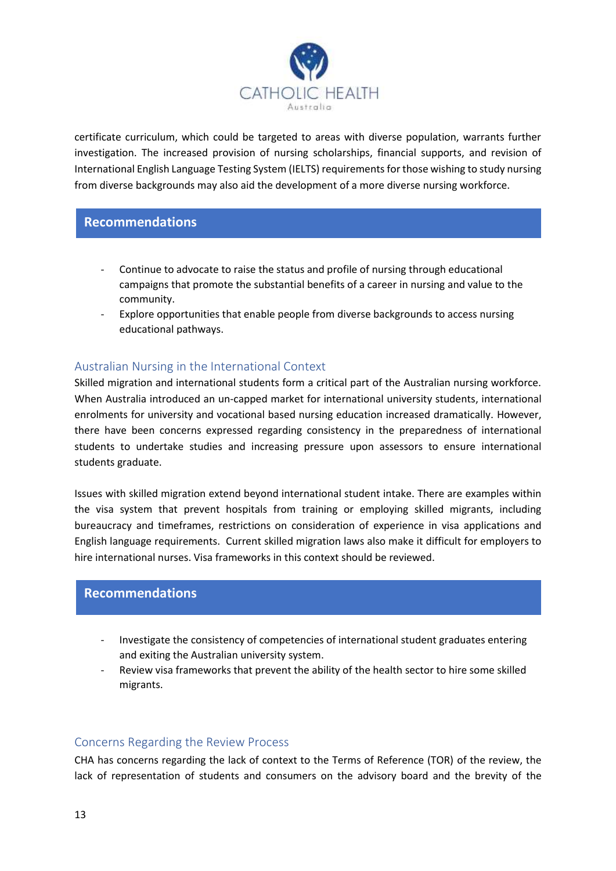

certificate curriculum, which could be targeted to areas with diverse population, warrants further investigation. The increased provision of nursing scholarships, financial supports, and revision of International English Language Testing System (IELTS) requirements for those wishing to study nursing from diverse backgrounds may also aid the development of a more diverse nursing workforce.

## **Recommendations**

- Continue to advocate to raise the status and profile of nursing through educational campaigns that promote the substantial benefits of a career in nursing and value to the community.
- Explore opportunities that enable people from diverse backgrounds to access nursing educational pathways.

# Australian Nursing in the International Context

Skilled migration and international students form a critical part of the Australian nursing workforce. When Australia introduced an un-capped market for international university students, international enrolments for university and vocational based nursing education increased dramatically. However, there have been concerns expressed regarding consistency in the preparedness of international students to undertake studies and increasing pressure upon assessors to ensure international students graduate.

Issues with skilled migration extend beyond international student intake. There are examples within the visa system that prevent hospitals from training or employing skilled migrants, including bureaucracy and timeframes, restrictions on consideration of experience in visa applications and English language requirements. Current skilled migration laws also make it difficult for employers to hire international nurses. Visa frameworks in this context should be reviewed.

### **Recommendations**

- Investigate the consistency of competencies of international student graduates entering and exiting the Australian university system.
- Review visa frameworks that prevent the ability of the health sector to hire some skilled migrants.

#### Concerns Regarding the Review Process

CHA has concerns regarding the lack of context to the Terms of Reference (TOR) of the review, the lack of representation of students and consumers on the advisory board and the brevity of the